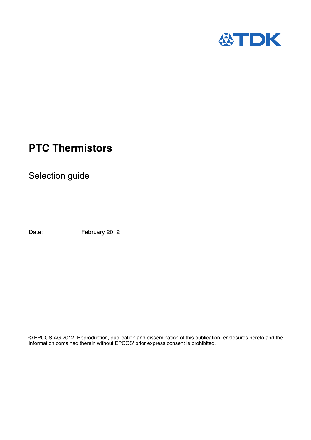

# **PTC Thermistors**

Selection guide

Date: February 2012

© EPCOS AG 2012. Reproduction, publication and dissemination of this publication, enclosures hereto and the information contained therein without EPCOS' prior express consent is prohibited.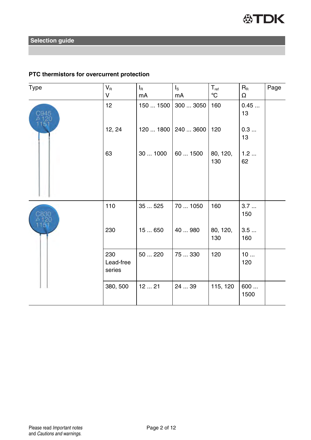#### **PTC thermistors for overcurrent protection**

| Type                  | $\mathsf{V}_\mathsf{R}$<br>v | $I_R$<br>mA | $I_{\rm S}$<br>mA | $T_{ref}$<br>$^{\circ}$ C | $\mathsf{R}_{\scriptscriptstyle{\mathsf{R}}}$<br>$\Omega$ | Page |
|-----------------------|------------------------------|-------------|-------------------|---------------------------|-----------------------------------------------------------|------|
| C945<br>△ 120<br>1151 | 12                           | 150  1500   | 3003050           | 160                       | 0.45<br>13                                                |      |
|                       | 12, 24                       | 120  1800   | 240  3600         | 120                       | 0.3<br>13                                                 |      |
|                       | 63                           | 301000      | 60  1500          | 80, 120,<br>130           | 1.2<br>62                                                 |      |
|                       |                              |             |                   |                           |                                                           |      |
| 20                    | 110                          | 35  525     | 70  1050          | 160                       | 3.7<br>150                                                |      |
| 151                   | 230                          | 15  650     | 40  980           | 80, 120,<br>130           | 3.5<br>160                                                |      |
|                       | 230<br>Lead-free<br>series   | 50  220     | 75  330           | 120                       | 10<br>120                                                 |      |
|                       | 380, 500                     | 1221        | 24  39            | 115, 120                  | 600<br>1500                                               |      |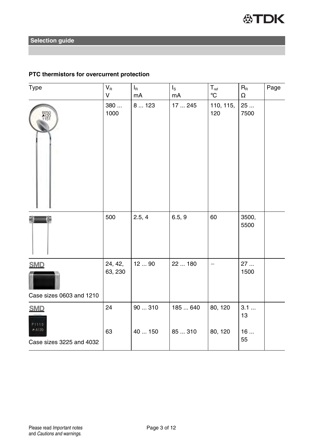# **PTC thermistors for overcurrent protection**

| Type                                          | $V_R$<br>V         | $I_R$<br>mA | $I_{\rm S}$<br>mA | $T_{\rm ref}$<br>$^\circ \text{C}$ | $R_{R}$<br>Ω  | Page |
|-----------------------------------------------|--------------------|-------------|-------------------|------------------------------------|---------------|------|
|                                               | 380<br>1000        | 8123        | 17  245           | 110, 115,<br>120                   | 25<br>7500    |      |
|                                               | 500                | 2.5, 4      | 6.5, 9            | 60                                 | 3500,<br>5500 |      |
| <b>SMD</b><br>Case sizes 0603 and 1210        | 24, 42,<br>63, 230 | 1290        | 22  180           | $\overline{\phantom{0}}$           | 27<br>1500    |      |
| <b>SMD</b>                                    | 24                 | 90  310     | 185  640          | 80, 120                            | 3.1<br>13     |      |
| P1115<br>$A$ A120<br>Case sizes 3225 and 4032 | 63                 | 40  150     | 85310             | 80, 120                            | 16<br>55      |      |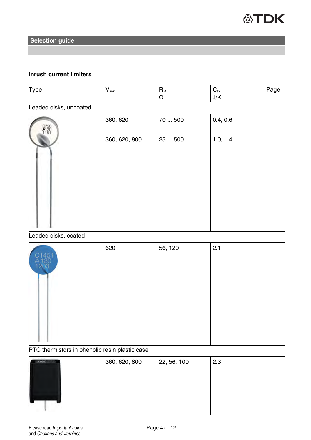

# **Inrush current limiters**

| Type                   | $V_{\text{link}}$ | $R_{\rm R}$ | $C_{\text{th}}$ | Page |  |  |  |
|------------------------|-------------------|-------------|-----------------|------|--|--|--|
|                        |                   | Ω           | J/K             |      |  |  |  |
| Leaded disks, uncoated |                   |             |                 |      |  |  |  |
|                        | 360, 620          | 70500       | 0.4, 0.6        |      |  |  |  |
|                        | 360, 620, 800     | 25  500     | 1.0, 1.4        |      |  |  |  |
|                        |                   |             |                 |      |  |  |  |
| Leaded disks, coated   |                   |             |                 |      |  |  |  |
|                        |                   |             |                 |      |  |  |  |
| $5 + 15$               | 620               | 56, 120     | 2.1             |      |  |  |  |

| 451<br>130<br>1203 | 620 | 56, 120 | 2.1 |  |
|--------------------|-----|---------|-----|--|
|                    |     |         |     |  |

PTC thermistors in phenolic resin plastic case

| <b>NATA:</b> | 360, 620, 800 | 22, 56, 100 | 2.3 |  |
|--------------|---------------|-------------|-----|--|
|              |               |             |     |  |
|              |               |             |     |  |
|              |               |             |     |  |
|              |               |             |     |  |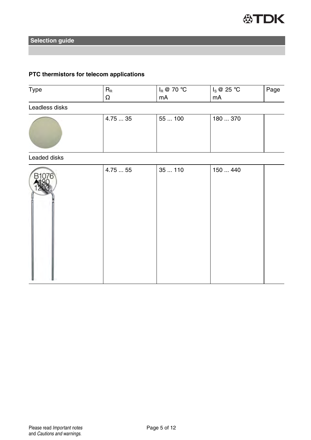

#### **PTC thermistors for telecom applications**

| Type           | $R_R$<br>Ω | $I_R \otimes 70 °C$<br>mA | $I_S \otimes 25 °C$<br>mA | Page |
|----------------|------------|---------------------------|---------------------------|------|
| Leadless disks |            |                           |                           |      |
|                | 4.7535     | 55  100                   | 180  370                  |      |

#### Leaded disks

| 1076 | 4.7555 | 35110 | 150  440 |  |
|------|--------|-------|----------|--|
|      |        |       |          |  |
|      |        |       |          |  |
|      |        |       |          |  |
|      |        |       |          |  |
|      |        |       |          |  |
|      |        |       |          |  |
|      |        |       |          |  |
|      |        |       |          |  |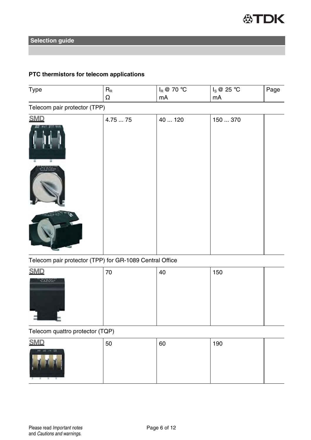### **PTC thermistors for telecom applications**

| Type                         | $\mathsf{R}_{\scriptscriptstyle{\mathsf{R}}}$                                                                      | $I_R \otimes 70 °C$ | $I_S \otimes 25 °C$ | Page |
|------------------------------|--------------------------------------------------------------------------------------------------------------------|---------------------|---------------------|------|
|                              | $\Omega$                                                                                                           | mA                  | mA                  |      |
| Telecom pair protector (TPP) |                                                                                                                    |                     |                     |      |
| <b>SMD</b>                   | 4.7575                                                                                                             | 40  120             | 150  370            |      |
|                              |                                                                                                                    |                     |                     |      |
|                              |                                                                                                                    |                     |                     |      |
|                              |                                                                                                                    |                     |                     |      |
| $T \times 1$                 | $\mathbf{r}$ and $\mathbf{r}$ and $\mathbf{r}$ and $\mathbf{r}$ and $\mathbf{r}$ and $\mathbf{r}$ and $\mathbf{r}$ |                     |                     |      |

Telecom pair protector (TPP) for GR-1089 Central Office

| <b>SMD</b>                                              | 70 | 40 | 150 |  |
|---------------------------------------------------------|----|----|-----|--|
| the control of the control of the con-<br><b>Report</b> |    |    |     |  |
|                                                         |    |    |     |  |
|                                                         |    |    |     |  |
|                                                         |    |    |     |  |
|                                                         |    |    |     |  |

Telecom quattro protector (TQP)

| <b>SMD</b>                    | 50 | 60 | 190 |  |
|-------------------------------|----|----|-----|--|
| 10 at 21 15<br>$-8$<br>$\sim$ |    |    |     |  |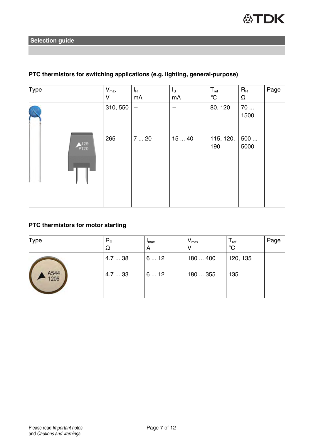| Type            | $V_{max}$<br>v | $I_{\mathsf{R}}$<br>mA | $I_{\rm S}$<br>mA | $T_{ref}$<br>$^{\circ}C$ | $R_{R}$<br>Ω       | Page |
|-----------------|----------------|------------------------|-------------------|--------------------------|--------------------|------|
|                 | 310, 550       | $\qquad \qquad -$      |                   | 80, 120                  | 70<br>1500         |      |
| $P_{120}^{J29}$ | 265            | $7 \dots 20$           | 1540              | 115, 120,<br>190         | $500\dots$<br>5000 |      |

# **PTC thermistors for switching applications (e.g. lighting, general-purpose)**

# **PTC thermistors for motor starting**

| Type | $R_{R}$<br>Ω | $max$<br>$\mathsf{A}$ | $\mathsf{v}_{\mathsf{max}}$ | $r_{\text{ref}}$<br>°C | Page |
|------|--------------|-----------------------|-----------------------------|------------------------|------|
| A544 | 4.738        | 612                   | 180  400                    | 120, 135               |      |
| 1206 | 4.733        | 612                   | 180  355                    | 135                    |      |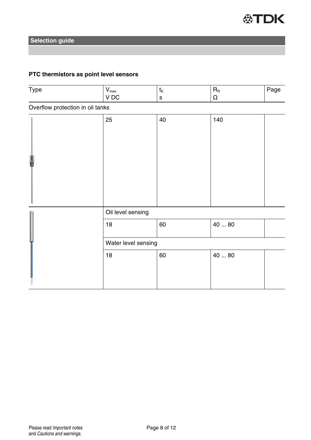

#### **PTC thermistors as point level sensors**

| Type                             | $\mathsf{V}_{\mathsf{max}}$<br>V DC | $t_{\scriptscriptstyle\rm E}$<br>s | $\mathsf{R}_{\scriptscriptstyle{\mathsf{R}}}$<br>Ω | Page |  |  |
|----------------------------------|-------------------------------------|------------------------------------|----------------------------------------------------|------|--|--|
| Overflow protection in oil tanks |                                     |                                    |                                                    |      |  |  |
|                                  | 25                                  | 40                                 | 140                                                |      |  |  |
|                                  | Oil level sensing                   |                                    |                                                    |      |  |  |
|                                  | 18                                  | 60                                 | 40  80                                             |      |  |  |
|                                  | Water level sensing                 |                                    |                                                    |      |  |  |
|                                  | 18                                  | 60                                 | 40  80                                             |      |  |  |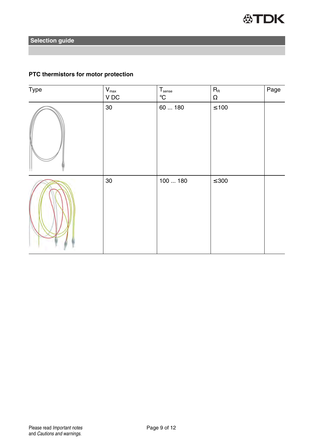#### **PTC thermistors for motor protection**

| Type | $\mathsf{V}_{\mathsf{max}}$<br>${\tt V}$ DC | $T_{\text{sense}}$<br>$^{\circ}{\rm C}$ | $\mathsf{R}_{\mathsf{R}}$<br>$\Omega$ | Page |
|------|---------------------------------------------|-----------------------------------------|---------------------------------------|------|
|      | $30\,$                                      | 60180                                   | $\leq 100$                            |      |
|      | 30                                          | 100180                                  | $\leq 300$                            |      |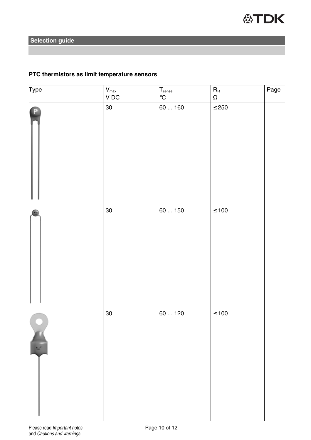### **PTC thermistors as limit temperature sensors**

| Type | $V_{\text{max}}$<br>$V$ DC | $\begin{array}{l} \mathsf{T}_{\mathsf{sense}}\\ \circ \mathsf{C} \end{array}$ | $\overline{\mathsf{R}_{\textrm{R}}}$<br>$\Omega$ | Page |
|------|----------------------------|-------------------------------------------------------------------------------|--------------------------------------------------|------|
|      | 30                         | 60  160                                                                       | $\leq 250$                                       |      |
|      | 30                         | 60  150                                                                       | $\leq 100$                                       |      |
|      | 30                         | 60  120                                                                       | $\leq 100$                                       |      |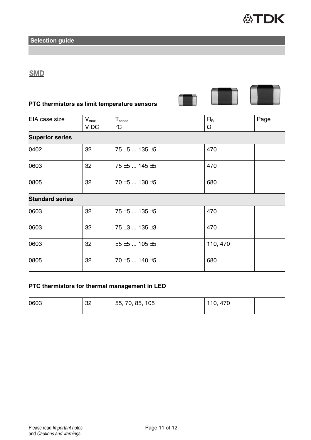

# **SMD**

## **PTC thermistors as limit temperature sensors**

| EIA case size          | $V_{\text{max}}$ | $\mathsf{T}_{\mathsf{sense}}$ | $R_{R}$  | Page |  |  |  |
|------------------------|------------------|-------------------------------|----------|------|--|--|--|
|                        | V DC             | $^{\circ}C$                   | Ω        |      |  |  |  |
| <b>Superior series</b> |                  |                               |          |      |  |  |  |
| 0402                   | 32               | $75 \pm 5$ 135 $\pm 5$        | 470      |      |  |  |  |
| 0603                   | 32               | $75 \pm 5$ 145 $\pm 5$        | 470      |      |  |  |  |
| 0805                   | 32               | $70 \pm 5$ 130 $\pm 5$        | 680      |      |  |  |  |
| <b>Standard series</b> |                  |                               |          |      |  |  |  |
| 0603                   | 32               | $75 \pm 5$ 135 $\pm 5$        | 470      |      |  |  |  |
| 0603                   | 32               | $75 \pm 3$ 135 $\pm 3$        | 470      |      |  |  |  |
| 0603                   | 32               | $55 \pm 5$ 105 $\pm 5$        | 110, 470 |      |  |  |  |
| 0805                   | 32               | $70 \pm 5$ 140 $\pm 5$        | 680      |      |  |  |  |

n 

#### **PTC thermistors for thermal management in LED**

| 0603 | 32 | 55, 70, 85,<br>105 | 470<br>10. |  |
|------|----|--------------------|------------|--|
|      |    |                    |            |  |